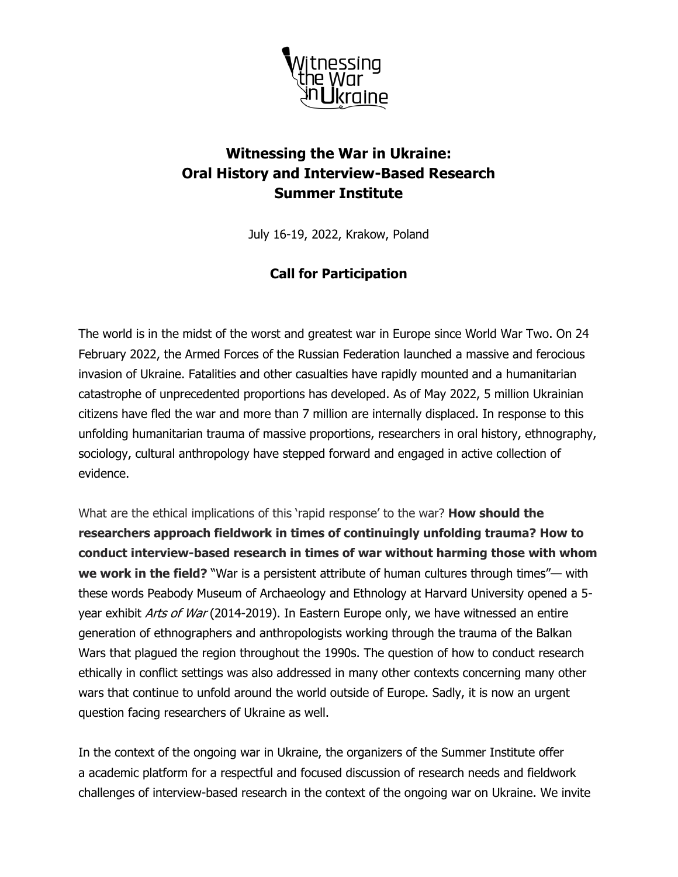

# **Witnessing the War in Ukraine: Oral History and Interview-Based Research Summer Institute**

July 16-19, 2022, Krakow, Poland

### **Call for Participation**

The world is in the midst of the worst and greatest war in Europe since World War Two. On 24 February 2022, the Armed Forces of the Russian Federation launched a massive and ferocious invasion of Ukraine. Fatalities and other casualties have rapidly mounted and a humanitarian catastrophe of unprecedented proportions has developed. As of May 2022, 5 million Ukrainian citizens have fled the war and more than 7 million are internally displaced. In response to this unfolding humanitarian trauma of massive proportions, researchers in oral history, ethnography, sociology, cultural anthropology have stepped forward and engaged in active collection of evidence.

What are the ethical implications of this 'rapid response' to the war? **How should the researchers approach fieldwork in times of continuingly unfolding trauma? How to conduct interview-based research in times of war without harming those with whom we work in the field?** "War is a persistent attribute of human cultures through times"— with these words Peabody Museum of Archaeology and Ethnology at Harvard University opened a 5 year exhibit Arts of War (2014-2019). In Eastern Europe only, we have witnessed an entire generation of ethnographers and anthropologists working through the trauma of the Balkan Wars that plagued the region throughout the 1990s. The question of how to conduct research ethically in conflict settings was also addressed in many other contexts concerning many other wars that continue to unfold around the world outside of Europe. Sadly, it is now an urgent question facing researchers of Ukraine as well.

In the context of the ongoing war in Ukraine, the organizers of the Summer Institute offer a academic platform for a respectful and focused discussion of research needs and fieldwork challenges of interview-based research in the context of the ongoing war on Ukraine. We invite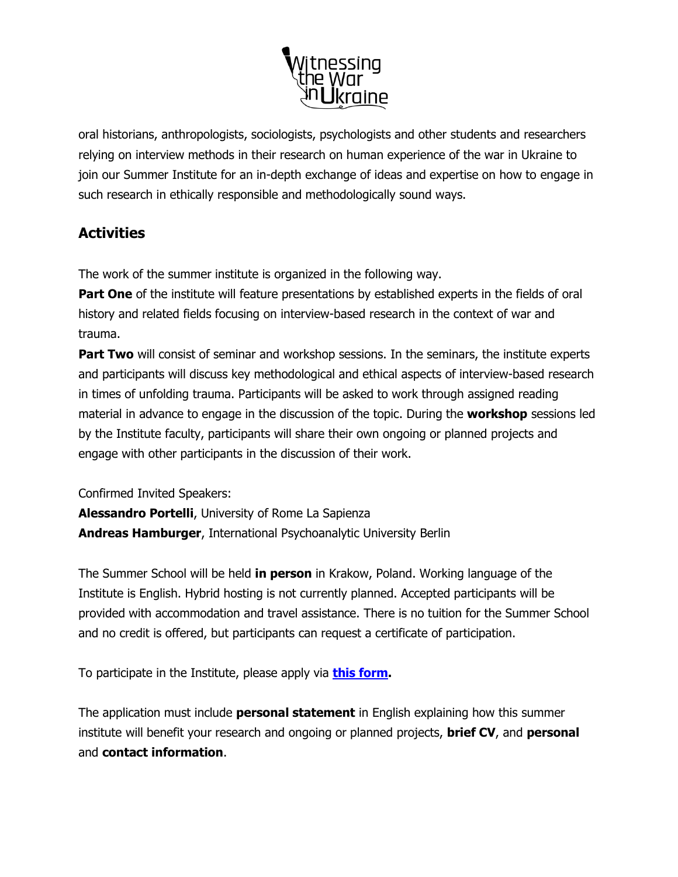

oral historians, anthropologists, sociologists, psychologists and other students and researchers relying on interview methods in their research on human experience of the war in Ukraine to join our Summer Institute for an in-depth exchange of ideas and expertise on how to engage in such research in ethically responsible and methodologically sound ways.

## **Activities**

The work of the summer institute is organized in the following way.

**Part One** of the institute will feature presentations by established experts in the fields of oral history and related fields focusing on interview-based research in the context of war and trauma.

**Part Two** will consist of seminar and workshop sessions. In the seminars, the institute experts and participants will discuss key methodological and ethical aspects of interview-based research in times of unfolding trauma. Participants will be asked to work through assigned reading material in advance to engage in the discussion of the topic. During the **workshop** sessions led by the Institute faculty, participants will share their own ongoing or planned projects and engage with other participants in the discussion of their work.

Confirmed Invited Speakers:

**Alessandro Portelli**, University of Rome La Sapienza **Andreas Hamburger**, International Psychoanalytic University Berlin

The Summer School will be held **in person** in Krakow, Poland. Working language of the Institute is English. Hybrid hosting is not currently planned. Accepted participants will be provided with accommodation and travel assistance. There is no tuition for the Summer School and no credit is offered, but participants can request a certificate of participation.

To participate in the Institute, please apply via **[this form.](https://forms.gle/kSQFUgcadSf2YY829)**

The application must include **personal statement** in English explaining how this summer institute will benefit your research and ongoing or planned projects, **brief CV**, and **personal** and **contact information**.